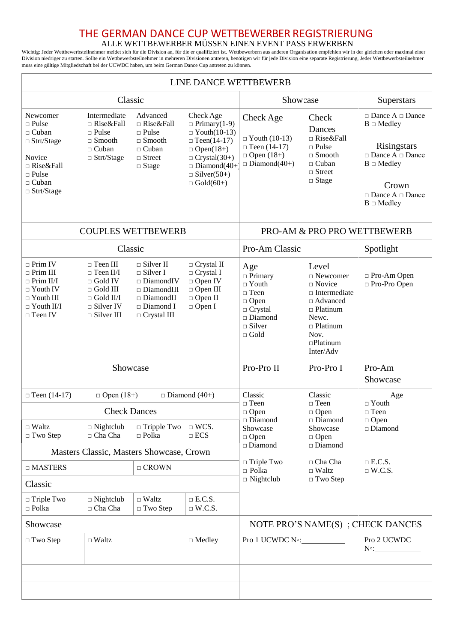## THE GERMAN DANCE CUP WETTBEWERBER REGISTRIERUNG<br>ALLE WETTBEWERBER MÜSSEN EINEN EVENT PASS ERWERBEN

ALLE WETTBEWERBER MUSSEN EINEN EVENT PASS ERWERBEN<br>Wichtig: Jeder Wettbewerbsteilnehmer meldet sich für die Division an, für die er qualifiziert ist. Wettbewerbern aus anderen Organisation empfehlen wir in der gleichen ode Division niedriger zu starten. Sollte ein Wettbewerbsteilnehmer in mehreren Divisionen antreten, benötigen wir für jede Division eine separate Registrierung, Jeder Wettbewerbsteilnehmer muss eine gültige Mitgliedschaft bei der UCWDC haben, um beim German Dance Cup antreten zu können.

| LINE DANCE WETTBEWERB                                                                                                                            |                                                                                                                                                                        |                                                                                                                                                            |                                                                                                                                                                                          |                                                                                                                                              |                                                                                                                                                                            |                                                                                                                                                                                            |  |  |
|--------------------------------------------------------------------------------------------------------------------------------------------------|------------------------------------------------------------------------------------------------------------------------------------------------------------------------|------------------------------------------------------------------------------------------------------------------------------------------------------------|------------------------------------------------------------------------------------------------------------------------------------------------------------------------------------------|----------------------------------------------------------------------------------------------------------------------------------------------|----------------------------------------------------------------------------------------------------------------------------------------------------------------------------|--------------------------------------------------------------------------------------------------------------------------------------------------------------------------------------------|--|--|
| Classic                                                                                                                                          |                                                                                                                                                                        |                                                                                                                                                            |                                                                                                                                                                                          | Show case                                                                                                                                    |                                                                                                                                                                            | Superstars                                                                                                                                                                                 |  |  |
| Newcomer<br>$\Box$ Pulse<br>$\Box$ Cuban<br>$\Box$ Strt/Stage<br>Novice<br>$\Box$ Rise&Fall<br>$\Box$ Pulse<br>$\Box$ Cuban<br>$\Box$ Strt/Stage | Intermediate<br>$\Box$ Rise&Fall<br>$\Box$ Pulse<br>$\hfill\Box$ Smooth<br>$\Box$ Cuban<br>$\Box$ Strt/Stage                                                           | Advanced<br>$\Box$ Rise&Fall<br>$\Box$ Pulse<br>$\Box$ Smooth<br>$\Box$ Cuban<br>$\hfill \Box$ Street<br>$\Box$ Stage                                      | Check Age<br>$\Box$ Primary(1-9)<br>$\Box$ Youth(10-13)<br>$\Box$ Teen(14-17)<br>$\Box$ Open(18+)<br>$\Box$ Crystal(30+)<br>$\Box$ Diamond(40+<br>$\Box$ Silver(50+)<br>$\Box$ Gold(60+) | Check Age<br>$\Box$ Youth (10-13)<br>$\Box$ Teen (14-17)<br>$\Box$ Open (18+)<br>$\Box$ Diamond(40+)                                         | Check<br>Dances<br>$\Box$ Rise&Fall<br>$\Box$ Pulse<br>$\Box$ Smooth<br>$\Box$ Cuban<br>$\Box$ Street<br>$\Box$ Stage                                                      | $\Box$ Dance A $\Box$ Dance<br>$B \square$ Medley<br><b>Risingstars</b><br>$\Box$ Dance A $\Box$ Dance<br>$B \square$ Medley<br>Crown<br>$\Box$ Dance A $\Box$ Dance<br>$B \square$ Medley |  |  |
| <b>COUPLES WETTBEWERB</b>                                                                                                                        |                                                                                                                                                                        |                                                                                                                                                            |                                                                                                                                                                                          | PRO-AM & PRO PRO WETTBEWERB                                                                                                                  |                                                                                                                                                                            |                                                                                                                                                                                            |  |  |
| Classic                                                                                                                                          |                                                                                                                                                                        |                                                                                                                                                            |                                                                                                                                                                                          | Pro-Am Classic                                                                                                                               |                                                                                                                                                                            | Spotlight                                                                                                                                                                                  |  |  |
| $\Box$ Prim IV<br>$\Box$ Prim III<br>$\Box$ Prim II/I<br>$\Box$ Youth IV<br>$\Box$ Youth III<br>$\Box$ Youth II/I<br>$\Box$ Teen IV              | $\Box$ Teen III<br>$\Box$ Teen II/I<br>$\Box$ Gold IV<br>$\sqcap$ Gold III<br>$\Box$ Gold II/I<br>$\Box$ Silver IV<br>$\Box$ Silver III                                | $\Box$ Silver II<br>$\Box$ Silver I<br>$\square$ DiamondIV<br>$\square$ DiamondIII<br>$\Box$ DiamondII<br>$\hfill \Box$<br>Diamond I<br>$\Box$ Crystal III | $\Box$ Crystal II<br>$\Box$ Crystal I<br>$\Box$ Open IV<br>$\Box$ Open III<br>$\Box$ Open II<br>$\Box$ Open I                                                                            | Age<br>$\Box$ Primary<br>$\Box$ Youth<br>$\sqcap$ Teen<br>$\Box$ Open<br>$\Box$ Crystal<br>$\square$ Diamond<br>$\Box$ Silver<br>$\Box$ Gold | Level<br>$\Box$ Newcomer<br>$\Box$ Novice<br>$\Box$ Intermediate<br>$\Box$ Advanced<br>$\Box$ Platinum<br>Newc.<br>$\Box$ Platinum<br>Nov.<br>$\Box$ Platinum<br>Inter/Adv | □ Pro-Am Open<br>□ Pro-Pro Open                                                                                                                                                            |  |  |
| Showcase                                                                                                                                         |                                                                                                                                                                        |                                                                                                                                                            |                                                                                                                                                                                          | Pro-Pro II                                                                                                                                   | Pro-Pro I                                                                                                                                                                  | Pro-Am<br>Showcase                                                                                                                                                                         |  |  |
| $\Box$ Teen (14-17)                                                                                                                              | $\Box$ Open (18+)<br>$\Box$ Diamond (40+)<br><b>Check Dances</b><br>$\Box$ Nightclub<br>$\Box$ Tripple Two $\Box$ WCS.<br>$\Box$ Cha Cha<br>$\Box$ ECS<br>$\Box$ Polka |                                                                                                                                                            |                                                                                                                                                                                          | Classic<br>$\Box$ Teen<br>$\Box$ Open<br>$\square$ Diamond<br>Showcase<br>$\Box$ Open                                                        | Classic<br>$\Box$ Teen<br>$\Box$ Open<br>$\square$ Diamond<br>Showcase<br>$\Box$ Open                                                                                      | Age<br>$\Box$ Youth                                                                                                                                                                        |  |  |
| $\Box$ Waltz<br>$\Box$ Two Step                                                                                                                  |                                                                                                                                                                        |                                                                                                                                                            |                                                                                                                                                                                          |                                                                                                                                              |                                                                                                                                                                            | $\sqcap$ Teen<br>$\Box$ Open<br>$\square$ Diamond                                                                                                                                          |  |  |
|                                                                                                                                                  |                                                                                                                                                                        | Masters Classic, Masters Showcase, Crown                                                                                                                   | Diamond                                                                                                                                                                                  | $\square$ Diamond                                                                                                                            |                                                                                                                                                                            |                                                                                                                                                                                            |  |  |
| $\Box$ MASTERS                                                                                                                                   |                                                                                                                                                                        | $\Box$ CROWN                                                                                                                                               |                                                                                                                                                                                          | $\Box$ Triple Two<br>$\Box$ Polka                                                                                                            | $\Box$ Cha Cha<br>$\Box$ Waltz                                                                                                                                             | $\Box$ E.C.S.<br>$\Box$ W.C.S.                                                                                                                                                             |  |  |
| Classic                                                                                                                                          |                                                                                                                                                                        |                                                                                                                                                            | $\Box$ Nightclub                                                                                                                                                                         | $\Box$ Two Step                                                                                                                              |                                                                                                                                                                            |                                                                                                                                                                                            |  |  |
| □ Triple Two<br>$\Box$ Polka                                                                                                                     | $\square$ Nightclub<br>$\Box$ Cha Cha                                                                                                                                  | $\hfill\Box$ Waltz<br>□ Two Step                                                                                                                           | $\Box$ E.C.S.<br>$\Box$ W.C.S.                                                                                                                                                           |                                                                                                                                              |                                                                                                                                                                            |                                                                                                                                                                                            |  |  |
| Showcase                                                                                                                                         |                                                                                                                                                                        |                                                                                                                                                            |                                                                                                                                                                                          | NOTE PRO'S NAME(S); CHECK DANCES                                                                                                             |                                                                                                                                                                            |                                                                                                                                                                                            |  |  |
| $\Box$ Two Step                                                                                                                                  | $\Box$ Waltz                                                                                                                                                           | $\Box$ Medley                                                                                                                                              |                                                                                                                                                                                          | Pro 1 UCWDC N <sup>o</sup> :                                                                                                                 |                                                                                                                                                                            | Pro 2 UCWDC<br>$N^{\circ}$ :                                                                                                                                                               |  |  |
|                                                                                                                                                  |                                                                                                                                                                        |                                                                                                                                                            |                                                                                                                                                                                          |                                                                                                                                              |                                                                                                                                                                            |                                                                                                                                                                                            |  |  |